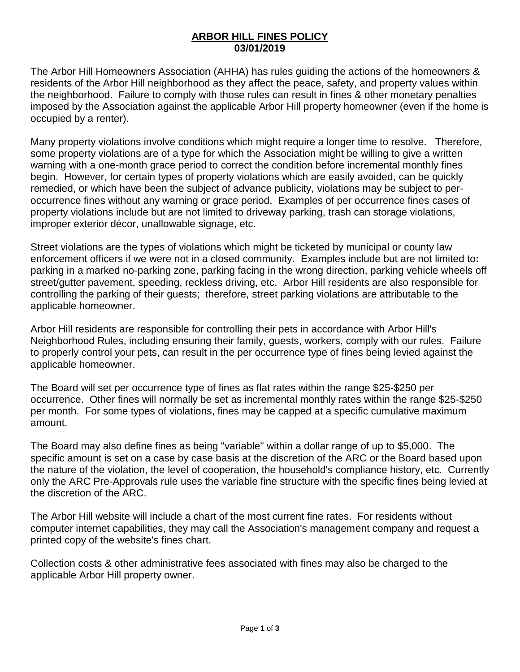## **ARBOR HILL FINES POLICY 03/01/2019**

The Arbor Hill Homeowners Association (AHHA) has rules guiding the actions of the homeowners & residents of the Arbor Hill neighborhood as they affect the peace, safety, and property values within the neighborhood. Failure to comply with those rules can result in fines & other monetary penalties imposed by the Association against the applicable Arbor Hill property homeowner (even if the home is occupied by a renter).

Many property violations involve conditions which might require a longer time to resolve. Therefore, some property violations are of a type for which the Association might be willing to give a written warning with a one-month grace period to correct the condition before incremental monthly fines begin. However, for certain types of property violations which are easily avoided, can be quickly remedied, or which have been the subject of advance publicity, violations may be subject to peroccurrence fines without any warning or grace period. Examples of per occurrence fines cases of property violations include but are not limited to driveway parking, trash can storage violations, improper exterior décor, unallowable signage, etc.

Street violations are the types of violations which might be ticketed by municipal or county law enforcement officers if we were not in a closed community. Examples include but are not limited to**:** parking in a marked no-parking zone, parking facing in the wrong direction, parking vehicle wheels off street/gutter pavement, speeding, reckless driving, etc. Arbor Hill residents are also responsible for controlling the parking of their guests; therefore, street parking violations are attributable to the applicable homeowner.

Arbor Hill residents are responsible for controlling their pets in accordance with Arbor Hill's Neighborhood Rules, including ensuring their family, guests, workers, comply with our rules. Failure to properly control your pets, can result in the per occurrence type of fines being levied against the applicable homeowner.

The Board will set per occurrence type of fines as flat rates within the range \$25-\$250 per occurrence. Other fines will normally be set as incremental monthly rates within the range \$25-\$250 per month. For some types of violations, fines may be capped at a specific cumulative maximum amount.

The Board may also define fines as being "variable" within a dollar range of up to \$5,000. The specific amount is set on a case by case basis at the discretion of the ARC or the Board based upon the nature of the violation, the level of cooperation, the household's compliance history, etc. Currently only the ARC Pre-Approvals rule uses the variable fine structure with the specific fines being levied at the discretion of the ARC.

The Arbor Hill website will include a chart of the most current fine rates. For residents without computer internet capabilities, they may call the Association's management company and request a printed copy of the website's fines chart.

Collection costs & other administrative fees associated with fines may also be charged to the applicable Arbor Hill property owner.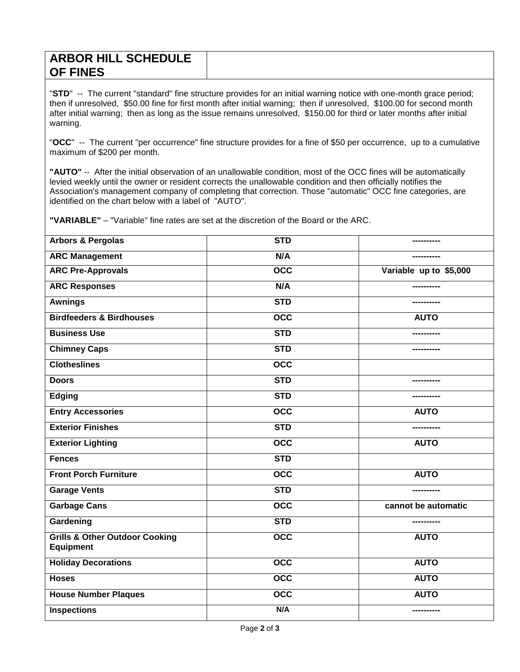| <b>ARBOR HILL SCHEDULE</b> |  |
|----------------------------|--|
| <b>OF FINES</b>            |  |

"**STD**" -- The current "standard" fine structure provides for an initial warning notice with one-month grace period; then if unresolved, \$50.00 fine for first month after initial warning; then if unresolved, \$100.00 for second month after initial warning; then as long as the issue remains unresolved, \$150.00 for third or later months after initial warning.

"**OCC**" -- The current "per occurrence" fine structure provides for a fine of \$50 per occurrence, up to a cumulative maximum of \$200 per month.

**"AUTO"** -- After the initial observation of an unallowable condition, most of the OCC fines will be automatically levied weekly until the owner or resident corrects the unallowable condition and then officially notifies the Association's management company of completing that correction. Those "automatic" OCC fine categories, are identified on the chart below with a label of "AUTO".

**"VARIABLE"** – "Variable" fine rates are set at the discretion of the Board or the ARC.

| <b>Arbors &amp; Pergolas</b>                           | <b>STD</b>       |                        |
|--------------------------------------------------------|------------------|------------------------|
| <b>ARC Management</b>                                  | N/A              |                        |
| <b>ARC Pre-Approvals</b>                               | $\overline{occ}$ | Variable up to \$5,000 |
| <b>ARC Responses</b>                                   | N/A              |                        |
| <b>Awnings</b>                                         | <b>STD</b>       |                        |
| <b>Birdfeeders &amp; Birdhouses</b>                    | $\overline{occ}$ | <b>AUTO</b>            |
| <b>Business Use</b>                                    | <b>STD</b>       |                        |
| <b>Chimney Caps</b>                                    | <b>STD</b>       |                        |
| <b>Clotheslines</b>                                    | $\overline{occ}$ |                        |
| <b>Doors</b>                                           | <b>STD</b>       |                        |
| <b>Edging</b>                                          | <b>STD</b>       |                        |
| <b>Entry Accessories</b>                               | $\overline{occ}$ | <b>AUTO</b>            |
| <b>Exterior Finishes</b>                               | <b>STD</b>       |                        |
| <b>Exterior Lighting</b>                               | $\overline{occ}$ | <b>AUTO</b>            |
| <b>Fences</b>                                          | <b>STD</b>       |                        |
| <b>Front Porch Furniture</b>                           | $\overline{occ}$ | <b>AUTO</b>            |
| <b>Garage Vents</b>                                    | <b>STD</b>       |                        |
| <b>Garbage Cans</b>                                    | $\overline{occ}$ | cannot be automatic    |
| Gardening                                              | <b>STD</b>       |                        |
| <b>Grills &amp; Other Outdoor Cooking</b><br>Equipment | $\overline{occ}$ | <b>AUTO</b>            |
| <b>Holiday Decorations</b>                             | $\overline{occ}$ | <b>AUTO</b>            |
| <b>Hoses</b>                                           | $\overline{occ}$ | <b>AUTO</b>            |
| <b>House Number Plaques</b>                            | $\overline{occ}$ | <b>AUTO</b>            |
| <b>Inspections</b>                                     | N/A              | -----------            |